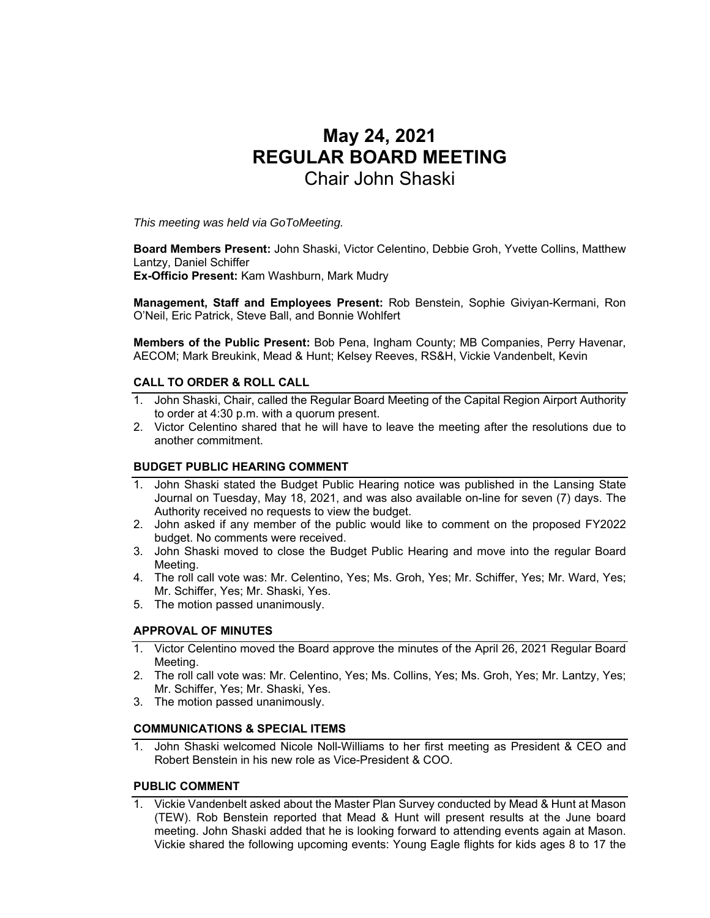# **May 24, 2021 REGULAR BOARD MEETING**  Chair John Shaski

*This meeting was held via GoToMeeting.* 

**Board Members Present:** John Shaski, Victor Celentino, Debbie Groh, Yvette Collins, Matthew Lantzy, Daniel Schiffer

**Ex-Officio Present:** Kam Washburn, Mark Mudry

**Management, Staff and Employees Present:** Rob Benstein, Sophie Giviyan-Kermani, Ron O'Neil, Eric Patrick, Steve Ball, and Bonnie Wohlfert

**Members of the Public Present:** Bob Pena, Ingham County; MB Companies, Perry Havenar, AECOM; Mark Breukink, Mead & Hunt; Kelsey Reeves, RS&H, Vickie Vandenbelt, Kevin

## **CALL TO ORDER & ROLL CALL**

- 1. John Shaski, Chair, called the Regular Board Meeting of the Capital Region Airport Authority to order at 4:30 p.m. with a quorum present.
- 2. Victor Celentino shared that he will have to leave the meeting after the resolutions due to another commitment.

# **BUDGET PUBLIC HEARING COMMENT**

- 1. John Shaski stated the Budget Public Hearing notice was published in the Lansing State Journal on Tuesday, May 18, 2021, and was also available on-line for seven (7) days. The Authority received no requests to view the budget.
- 2. John asked if any member of the public would like to comment on the proposed FY2022 budget. No comments were received.
- 3. John Shaski moved to close the Budget Public Hearing and move into the regular Board Meeting.
- 4. The roll call vote was: Mr. Celentino, Yes; Ms. Groh, Yes; Mr. Schiffer, Yes; Mr. Ward, Yes; Mr. Schiffer, Yes; Mr. Shaski, Yes.
- 5. The motion passed unanimously.

## **APPROVAL OF MINUTES**

- 1. Victor Celentino moved the Board approve the minutes of the April 26, 2021 Regular Board Meeting.
- 2. The roll call vote was: Mr. Celentino, Yes; Ms. Collins, Yes; Ms. Groh, Yes; Mr. Lantzy, Yes; Mr. Schiffer, Yes; Mr. Shaski, Yes.
- 3. The motion passed unanimously.

## **COMMUNICATIONS & SPECIAL ITEMS**

1. John Shaski welcomed Nicole Noll-Williams to her first meeting as President & CEO and Robert Benstein in his new role as Vice-President & COO.

# **PUBLIC COMMENT**

1. Vickie Vandenbelt asked about the Master Plan Survey conducted by Mead & Hunt at Mason (TEW). Rob Benstein reported that Mead & Hunt will present results at the June board meeting. John Shaski added that he is looking forward to attending events again at Mason. Vickie shared the following upcoming events: Young Eagle flights for kids ages 8 to 17 the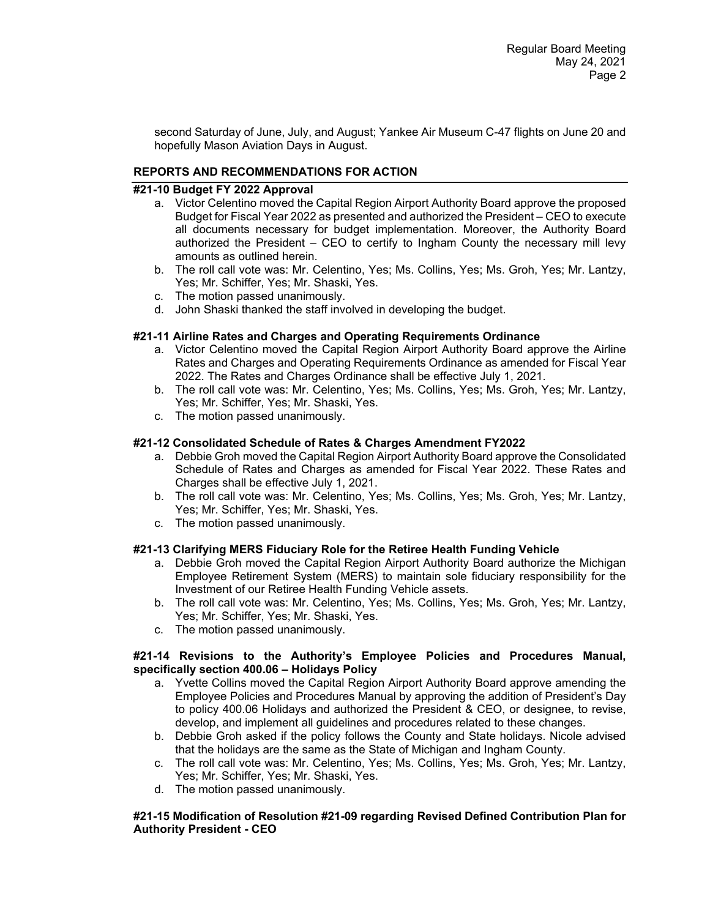second Saturday of June, July, and August; Yankee Air Museum C-47 flights on June 20 and hopefully Mason Aviation Days in August.

# **REPORTS AND RECOMMENDATIONS FOR ACTION**

## **#21-10 Budget FY 2022 Approval**

- a. Victor Celentino moved the Capital Region Airport Authority Board approve the proposed Budget for Fiscal Year 2022 as presented and authorized the President – CEO to execute all documents necessary for budget implementation. Moreover, the Authority Board authorized the President – CEO to certify to Ingham County the necessary mill levy amounts as outlined herein.
- b. The roll call vote was: Mr. Celentino, Yes; Ms. Collins, Yes; Ms. Groh, Yes; Mr. Lantzy, Yes; Mr. Schiffer, Yes; Mr. Shaski, Yes.
- c. The motion passed unanimously.
- d. John Shaski thanked the staff involved in developing the budget.

## **#21-11 Airline Rates and Charges and Operating Requirements Ordinance**

- a. Victor Celentino moved the Capital Region Airport Authority Board approve the Airline Rates and Charges and Operating Requirements Ordinance as amended for Fiscal Year 2022. The Rates and Charges Ordinance shall be effective July 1, 2021.
- b. The roll call vote was: Mr. Celentino, Yes; Ms. Collins, Yes; Ms. Groh, Yes; Mr. Lantzy, Yes; Mr. Schiffer, Yes; Mr. Shaski, Yes.
- c. The motion passed unanimously.

# **#21-12 Consolidated Schedule of Rates & Charges Amendment FY2022**

- a. Debbie Groh moved the Capital Region Airport Authority Board approve the Consolidated Schedule of Rates and Charges as amended for Fiscal Year 2022. These Rates and Charges shall be effective July 1, 2021.
- b. The roll call vote was: Mr. Celentino, Yes; Ms. Collins, Yes; Ms. Groh, Yes; Mr. Lantzy, Yes; Mr. Schiffer, Yes; Mr. Shaski, Yes.
- c. The motion passed unanimously.

## **#21-13 Clarifying MERS Fiduciary Role for the Retiree Health Funding Vehicle**

- a. Debbie Groh moved the Capital Region Airport Authority Board authorize the Michigan Employee Retirement System (MERS) to maintain sole fiduciary responsibility for the Investment of our Retiree Health Funding Vehicle assets.
- b. The roll call vote was: Mr. Celentino, Yes; Ms. Collins, Yes; Ms. Groh, Yes; Mr. Lantzy, Yes; Mr. Schiffer, Yes; Mr. Shaski, Yes.
- c. The motion passed unanimously.

## **#21-14 Revisions to the Authority's Employee Policies and Procedures Manual, specifically section 400.06 – Holidays Policy**

- a. Yvette Collins moved the Capital Region Airport Authority Board approve amending the Employee Policies and Procedures Manual by approving the addition of President's Day to policy 400.06 Holidays and authorized the President & CEO, or designee, to revise, develop, and implement all guidelines and procedures related to these changes.
- b. Debbie Groh asked if the policy follows the County and State holidays. Nicole advised that the holidays are the same as the State of Michigan and Ingham County.
- c. The roll call vote was: Mr. Celentino, Yes; Ms. Collins, Yes; Ms. Groh, Yes; Mr. Lantzy, Yes; Mr. Schiffer, Yes; Mr. Shaski, Yes.
- d. The motion passed unanimously.

# **#21-15 Modification of Resolution #21-09 regarding Revised Defined Contribution Plan for Authority President - CEO**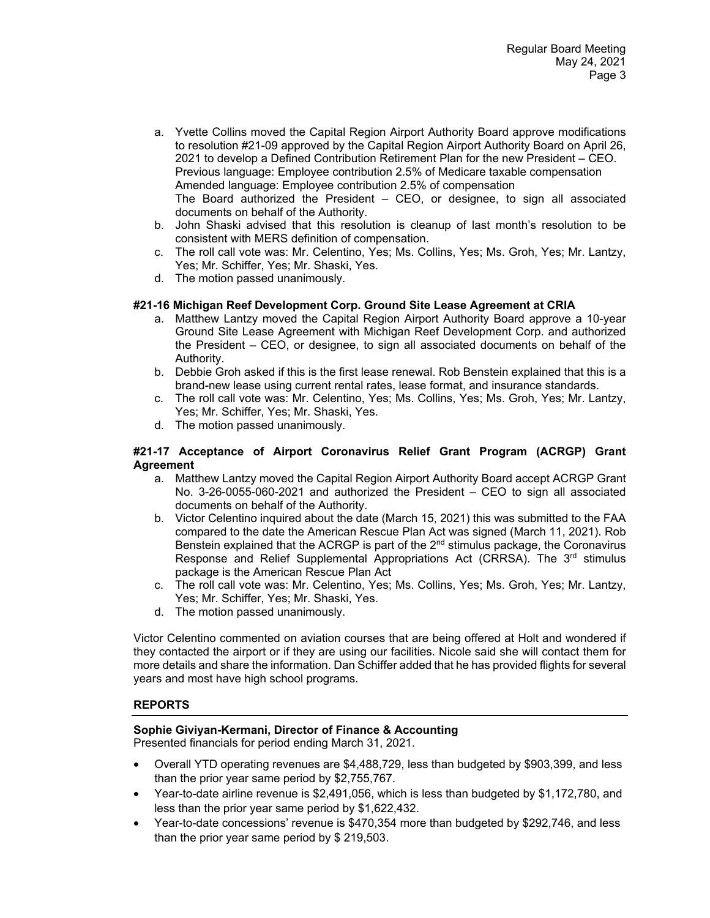- a. Yvette Collins moved the Capital Region Airport Authority Board approve modifications to resolution #21-09 approved by the Capital Region Airport Authority Board on April 26, 2021 to develop a Defined Contribution Retirement Plan for the new President – CEO. Previous language: Employee contribution 2.5% of Medicare taxable compensation Amended language: Employee contribution 2.5% of compensation The Board authorized the President – CEO, or designee, to sign all associated documents on behalf of the Authority.
- b. John Shaski advised that this resolution is cleanup of last month's resolution to be consistent with MERS definition of compensation.
- c. The roll call vote was: Mr. Celentino, Yes; Ms. Collins, Yes; Ms. Groh, Yes; Mr. Lantzy, Yes; Mr. Schiffer, Yes; Mr. Shaski, Yes.
- d. The motion passed unanimously.

# **#21-16 Michigan Reef Development Corp. Ground Site Lease Agreement at CRIA**

- a. Matthew Lantzy moved the Capital Region Airport Authority Board approve a 10-year Ground Site Lease Agreement with Michigan Reef Development Corp. and authorized the President – CEO, or designee, to sign all associated documents on behalf of the Authority.
- b. Debbie Groh asked if this is the first lease renewal. Rob Benstein explained that this is a brand-new lease using current rental rates, lease format, and insurance standards.
- c. The roll call vote was: Mr. Celentino, Yes; Ms. Collins, Yes; Ms. Groh, Yes; Mr. Lantzy, Yes; Mr. Schiffer, Yes; Mr. Shaski, Yes.
- d. The motion passed unanimously.

## **#21-17 Acceptance of Airport Coronavirus Relief Grant Program (ACRGP) Grant Agreement**

- a. Matthew Lantzy moved the Capital Region Airport Authority Board accept ACRGP Grant No. 3-26-0055-060-2021 and authorized the President – CEO to sign all associated documents on behalf of the Authority.
- b. Victor Celentino inquired about the date (March 15, 2021) this was submitted to the FAA compared to the date the American Rescue Plan Act was signed (March 11, 2021). Rob Benstein explained that the ACRGP is part of the 2<sup>nd</sup> stimulus package, the Coronavirus Response and Relief Supplemental Appropriations Act (CRRSA). The 3rd stimulus package is the American Rescue Plan Act
- c. The roll call vote was: Mr. Celentino, Yes; Ms. Collins, Yes; Ms. Groh, Yes; Mr. Lantzy, Yes; Mr. Schiffer, Yes; Mr. Shaski, Yes.
- d. The motion passed unanimously.

Victor Celentino commented on aviation courses that are being offered at Holt and wondered if they contacted the airport or if they are using our facilities. Nicole said she will contact them for more details and share the information. Dan Schiffer added that he has provided flights for several years and most have high school programs.

## **REPORTS**

## **Sophie Giviyan-Kermani, Director of Finance & Accounting**

Presented financials for period ending March 31, 2021.

- Overall YTD operating revenues are \$4,488,729, less than budgeted by \$903,399, and less than the prior year same period by \$2,755,767.
- Year-to-date airline revenue is \$2,491,056, which is less than budgeted by \$1,172,780, and less than the prior year same period by \$1,622,432.
- Year-to-date concessions' revenue is \$470,354 more than budgeted by \$292,746, and less than the prior year same period by \$ 219,503.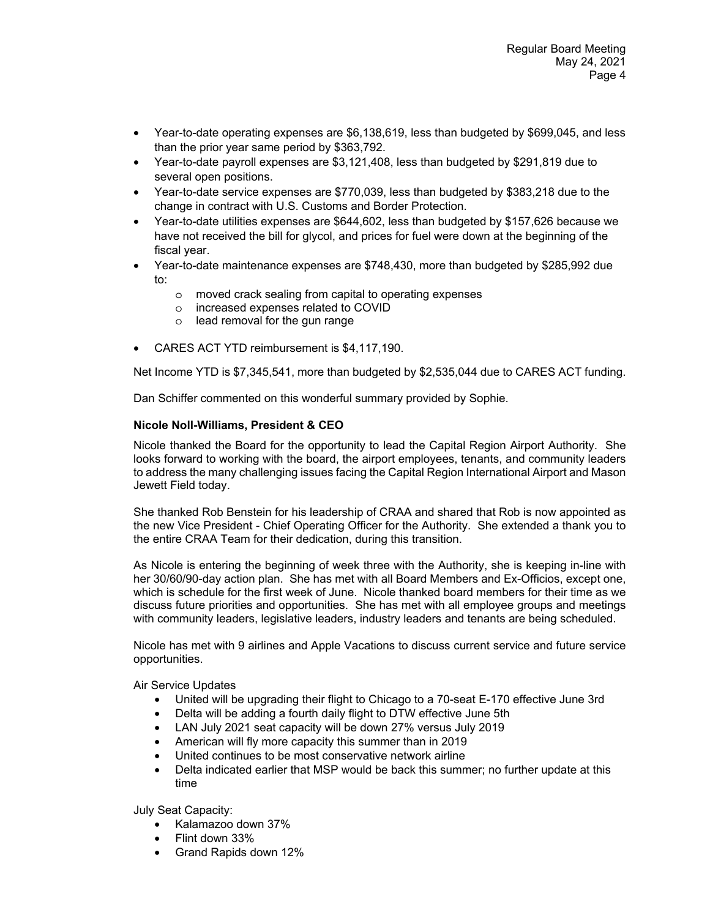- Year-to-date operating expenses are \$6,138,619, less than budgeted by \$699,045, and less than the prior year same period by \$363,792.
- Year-to-date payroll expenses are \$3,121,408, less than budgeted by \$291,819 due to several open positions.
- Year-to-date service expenses are \$770,039, less than budgeted by \$383,218 due to the change in contract with U.S. Customs and Border Protection.
- Year-to-date utilities expenses are \$644,602, less than budgeted by \$157,626 because we have not received the bill for glycol, and prices for fuel were down at the beginning of the fiscal year.
- Year-to-date maintenance expenses are \$748,430, more than budgeted by \$285,992 due to:
	- o moved crack sealing from capital to operating expenses
	- o increased expenses related to COVID
	- o lead removal for the gun range
- CARES ACT YTD reimbursement is \$4,117,190.

Net Income YTD is \$7,345,541, more than budgeted by \$2,535,044 due to CARES ACT funding.

Dan Schiffer commented on this wonderful summary provided by Sophie.

## **Nicole Noll-Williams, President & CEO**

Nicole thanked the Board for the opportunity to lead the Capital Region Airport Authority. She looks forward to working with the board, the airport employees, tenants, and community leaders to address the many challenging issues facing the Capital Region International Airport and Mason Jewett Field today.

She thanked Rob Benstein for his leadership of CRAA and shared that Rob is now appointed as the new Vice President - Chief Operating Officer for the Authority. She extended a thank you to the entire CRAA Team for their dedication, during this transition.

As Nicole is entering the beginning of week three with the Authority, she is keeping in-line with her 30/60/90-day action plan. She has met with all Board Members and Ex-Officios, except one, which is schedule for the first week of June. Nicole thanked board members for their time as we discuss future priorities and opportunities. She has met with all employee groups and meetings with community leaders, legislative leaders, industry leaders and tenants are being scheduled.

Nicole has met with 9 airlines and Apple Vacations to discuss current service and future service opportunities.

Air Service Updates

- United will be upgrading their flight to Chicago to a 70-seat E-170 effective June 3rd
- Delta will be adding a fourth daily flight to DTW effective June 5th
- LAN July 2021 seat capacity will be down 27% versus July 2019
- American will fly more capacity this summer than in 2019
- United continues to be most conservative network airline
- Delta indicated earlier that MSP would be back this summer; no further update at this time

July Seat Capacity:

- Kalamazoo down 37%
- Flint down 33%
- Grand Rapids down 12%